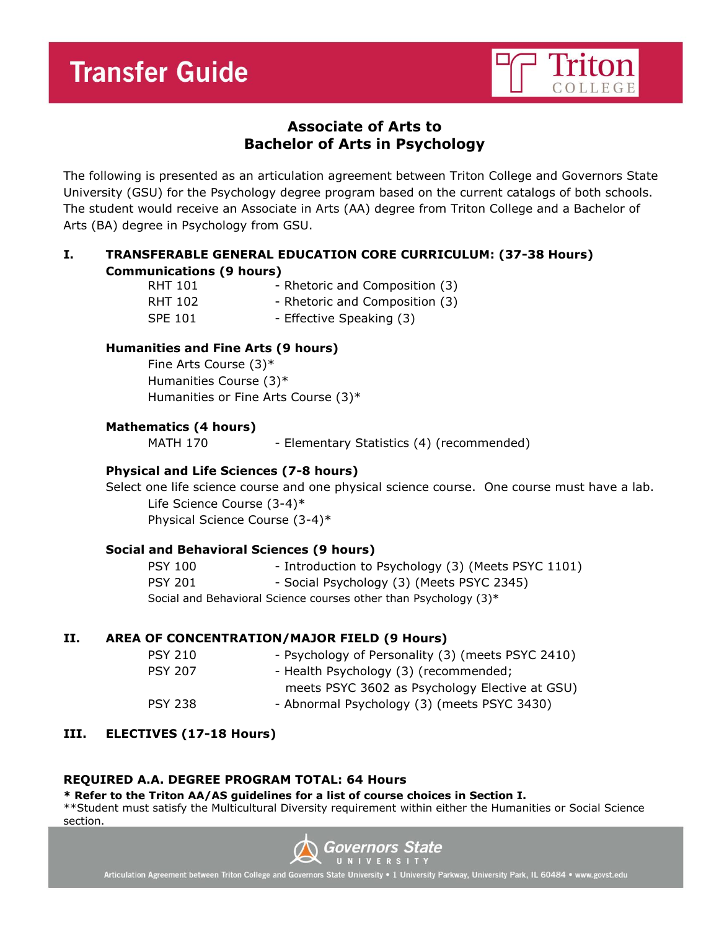

# **Associate of Arts to Bachelor of Arts in Psychology**

The following is presented as an articulation agreement between Triton College and Governors State University (GSU) for the Psychology degree program based on the current catalogs of both schools. The student would receive an Associate in Arts (AA) degree from Triton College and a Bachelor of Arts (BA) degree in Psychology from GSU.

# **I. TRANSFERABLE GENERAL EDUCATION CORE CURRICULUM: (37-38 Hours) Communications (9 hours)**

| <b>RHT 101</b> | - Rhetoric and Composition (3) |
|----------------|--------------------------------|
| RHT 102        | - Rhetoric and Composition (3) |
| <b>SPE 101</b> | - Effective Speaking (3)       |

# **Humanities and Fine Arts (9 hours)**

Fine Arts Course (3)\* Humanities Course (3)\* Humanities or Fine Arts Course (3)\*

# **Mathematics (4 hours)**

MATH 170 - Elementary Statistics (4) (recommended)

# **Physical and Life Sciences (7-8 hours)**

Select one life science course and one physical science course. One course must have a lab. Life Science Course (3-4)\*

Physical Science Course (3-4)\*

# **Social and Behavioral Sciences (9 hours)**

| PSY 100                                                          | - Introduction to Psychology (3) (Meets PSYC 1101) |
|------------------------------------------------------------------|----------------------------------------------------|
| PSY 201                                                          | - Social Psychology (3) (Meets PSYC 2345)          |
| Social and Behavioral Science courses other than Psychology (3)* |                                                    |

# **II. AREA OF CONCENTRATION/MAJOR FIELD (9 Hours)**

| <b>PSY 210</b> | - Psychology of Personality (3) (meets PSYC 2410) |
|----------------|---------------------------------------------------|
| <b>PSY 207</b> | - Health Psychology (3) (recommended;             |
|                | meets PSYC 3602 as Psychology Elective at GSU)    |
| <b>PSY 238</b> | - Abnormal Psychology (3) (meets PSYC 3430)       |
|                |                                                   |

# **III. ELECTIVES (17-18 Hours)**

#### **REQUIRED A.A. DEGREE PROGRAM TOTAL: 64 Hours**

#### **\* Refer to the Triton AA/AS guidelines for a list of course choices in Section I.**

\*\*Student must satisfy the Multicultural Diversity requirement within either the Humanities or Social Science section.



Articulation Agreement between Triton College and Governors State University . 1 University Parkway, University Park, IL 60484 . www.govst.edu